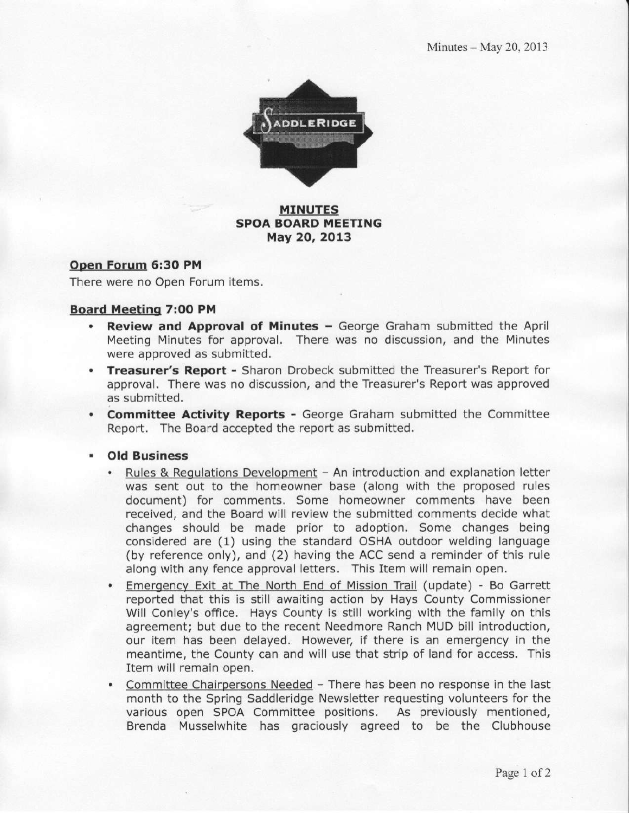

#### MINUTES SPOA BOARD MEETING May 20, 2013

#### Open Forum 6:30 PM

There were no Open Forum items.

#### Board Meeting 7:00 PM

- Review and Approval of Minutes George Graham submitted the April Meeting Minutes for approval. There was no discussion, and the Minutes were approved as submitted.
- Treasurer's Report Sharon Drobeck submitted the Treasurer's Report for approval. There was no discussion, and the Treasurer's Report was approved as submitted.
- . Committee Activity Reports George Graham submitted the Committee Report. The Board accepted the report as submitted.
- . Old Business
	- Rules & Regulations Development An introduction and explanation letter was sent out to the homeowner base (along with the proposed rules document) for comments, Some homeowner comments have been received, and the Board will review the submitted comments decide what changes should be made prior to adoption. Some changes being considered are (1) using the standard OSHA outdoor welding language (by reference only), and (2) having the ACC send a reminder of this rule along with any fence approval letters. This Item will remain open.
	- Emergency Exit at The North End of Mission Trail (update) Bo Garrett reported that this is still awaiting action by Hays County Commissioner Will Conley's office. Hays County is still working with the family on this agreement; but due to the recent Needmore Ranch MUD bill introduction, our item has been delayed. However, if there is an emergency in the meantime, the County can and will use that strip of land for access. This Item will remain open.
	- Committee Chairpersons Needed There has been no response in the last month to the Spring Saddleridge Newsletter requesting volunteers for the various open SPOA Committee positions. As previously mentioned, Brenda Musselwhite has graciously agreed to be the Clubhouse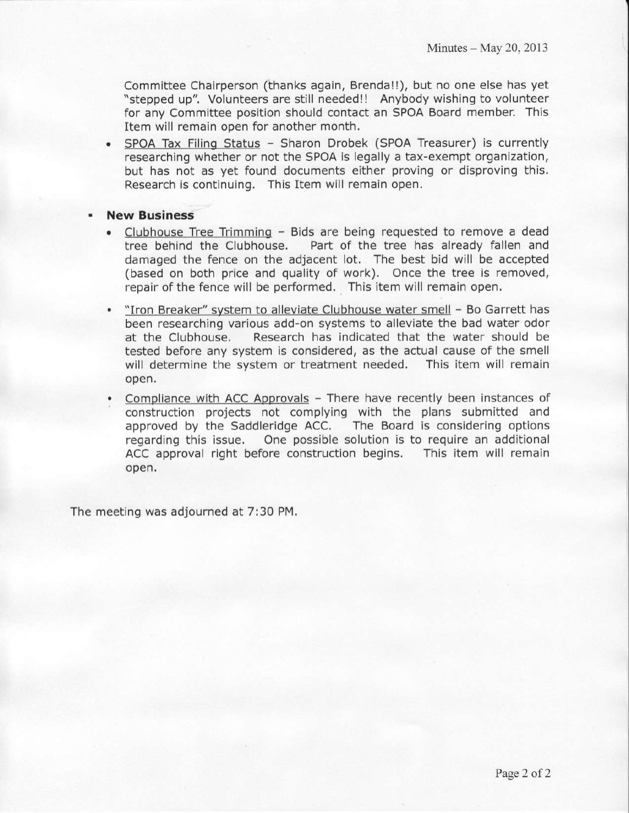Committee Chalrperson (thanks again, Brenda!!), but no one else has yet "stepped up". Volunteers are still needed!l Anybody wishing to volunteer for anv Committee Dosition should contact an SPOA Board member. This Item will remaln open for another month.

- . SPOA Tax Filino Status Sharon Drobek (SPOA Treasurer) is currently researching whether or not the SPOA is legally a tax-exempt organization, but has not as yet found documents either proving or disproving this. Research is continuing. This Item will remain open.
- New Business
	- . Clubhouse Tree Trimming Bids are being requested to remove a dead tree behind the Clubhouse. Part of the tree has already fallen and damaged the fence on the adjacent lot. The best bid will be accepted (based on both price and quality of work). Once the tree is removed, repair of the fence will be performed. This item will remain open,
	- . "Iron Breaker" svstem to alleviate clubhouse water smell Bo Garrett has been researching various add-on systems to alleviate the bad water odor at the Clubhouse. Research has indicated that the water should be tested before any system is considered, as the actual cause of the smell will determine the system or treatment needed. This item will remain open.
	- Compliance with ACC Approvals There have recently been instances of construction projects not complying with the plans submitted and approved by the Saddleridge ACC. The Board is considering options regarding this lssue. One possible solution is to require an additional ACC approval right before construction begins. This item will remain open.

The meeting was adjourned at 7:30 PM.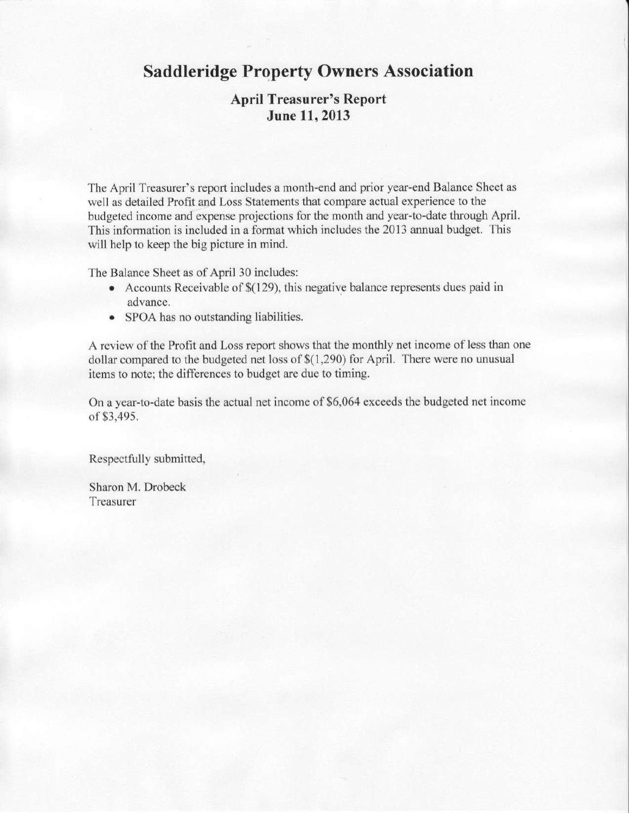## Saddleridge Property Owners Association

## April Treasurer's Report June 11,2013

The April Treasurer's report includes a month-end and prior year-end Balance Sheet as well as detailed Profit and Loss Statements that compare actual experience to the budgeted income and expense projections for the month and year-to-date though April. This information is included in a fomat which includes the 2013 annual budget. This will help to keep the big picture in mind.

The Balance Sheet as of April 30 includes:

- Accounts Receivable of \$(129), this negative balance represents dues paid in advance.
- SPOA has no outstanding liabilities.

A review of the Profit and Loss report shows that the monthly net income of less than one dollar compared to the budgeted net loss of  $$(1,290)$  for April. There were no unusual items to note; the differences to budget are due to timing.

On a year-to-date basis the actual net income of \$6,064 exceeds the budgeted net income of \$3,495,

Respectfully submitted,

Sharon M. Drobeck Treasurer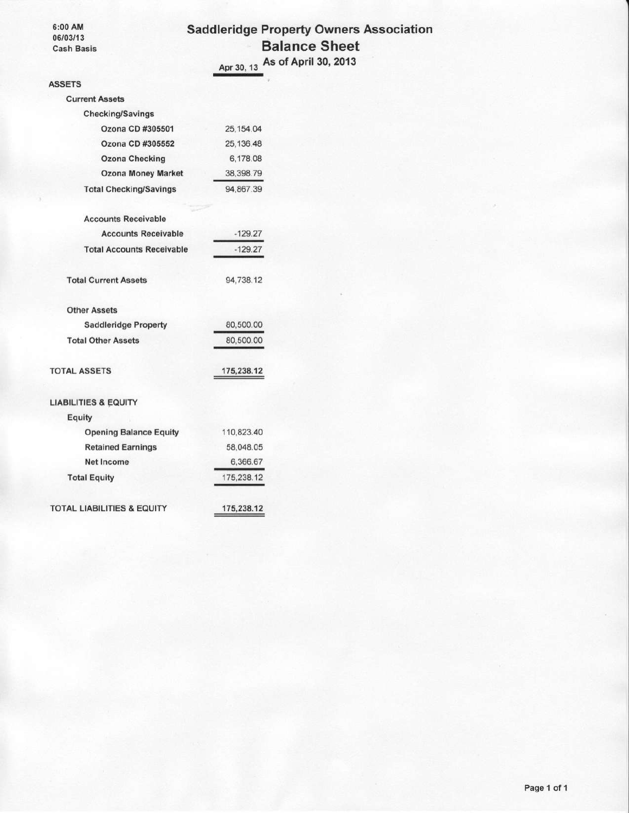6:00 AM 06/03/13 **Cash Basis** 

#### **Saddleridge Property Owners Association Balance Sheet** As of April 30, 2013 Apr 30, 13

**ASSETS Current Assets** Checking/Savings Ozona CD #305501 25, 154.04 Ozona CD #305552 25,136.48 **Ozona Checking** 6,178.08 **Ozona Money Market** 38,398.79 **Total Checking/Savings** 94,867.39 **Accounts Receivable Accounts Receivable**  $-129.27$  $-129.27$ **Total Accounts Receivable Total Current Assets** 94,738.12 **Other Assets Saddleridge Property** 80,500.00 **Total Other Assets** 80,500.00 **TOTAL ASSETS** 175,238.12 **LIABILITIES & EQUITY** Equity **Opening Balance Equity** 110,823.40 **Retained Earnings** 58,048.05 Net Income 6,366.67 **Total Equity** 175,238.12 **TOTAL LIABILITIES & EQUITY** 175,238.12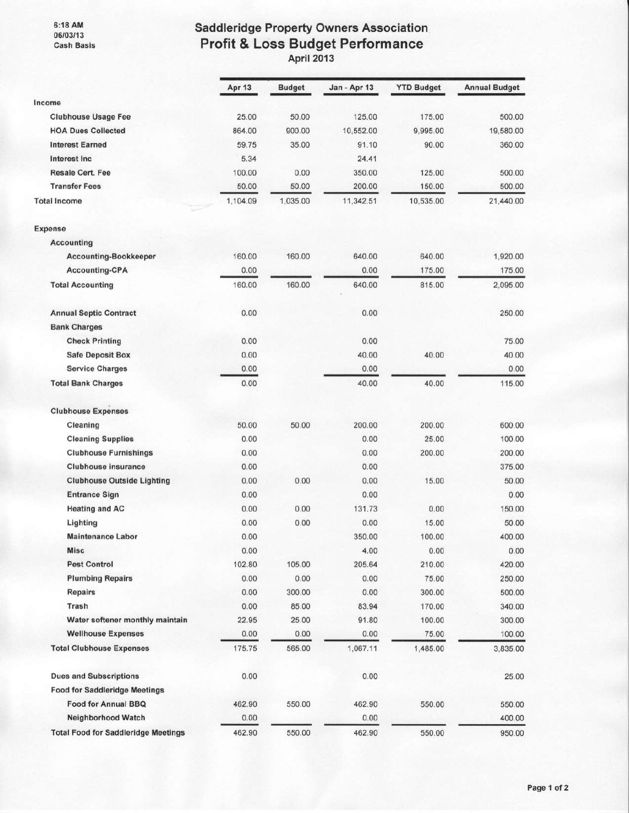6:18 AM<br>06/03/13<br>Cash Basis

# Saddleridge Property Owners Association<br>Profit & Loss Budget Performance<br>April 2013

|                                            | <b>Apr 13</b> | <b>Budget</b> | Jan - Apr 13 | <b>YTD Budget</b> | <b>Annual Budget</b> |
|--------------------------------------------|---------------|---------------|--------------|-------------------|----------------------|
| Income                                     |               |               |              |                   |                      |
| <b>Clubhouse Usage Fee</b>                 | 25.00         | 50.00         | 125.00       | 175.00            | 500.00               |
| <b>HOA Dues Collected</b>                  | 864.00        | 900.00        | 10,552.00    | 9,995.00          | 19,580.00            |
| <b>Interest Earned</b>                     | 59.75         | 35.00         | 91.10        | 90.00             | 360.00               |
| Interest Inc                               | 5.34          |               | 24.41        |                   |                      |
| <b>Resale Cert. Fee</b>                    | 100.00        | 0.00          | 350.00       | 125.00            | 500.00               |
| <b>Transfer Fees</b>                       | 50.00         | 50.00         | 200.00       | 150.00            | 500.00               |
| <b>Total Income</b>                        | 1,104.09      | 1,035.00      | 11,342.51    | 10,535.00         | 21,440.00            |
| Expense                                    |               |               |              |                   |                      |
| <b>Accounting</b>                          |               |               |              |                   |                      |
| Accounting-Bookkeeper                      | 160.00        | 160.00        | 640.00       | 640.00            | 1,920.00             |
| <b>Accounting-CPA</b>                      | 0.00          |               | 0.00         | 175.00            | 175.00               |
| <b>Total Accounting</b>                    | 160.00        | 160.00        | 640.00       | 815.00            | 2,095.00             |
| <b>Annual Septic Contract</b>              | 0.00          |               | 0.00         |                   | 250.00               |
| <b>Bank Charges</b>                        |               |               |              |                   |                      |
| <b>Check Printing</b>                      | 0.00          |               | 0.00         |                   | 75.00                |
| <b>Safe Deposit Box</b>                    | 0.00          |               | 40.00        | 40.00             | 40.00                |
| <b>Service Charges</b>                     | 0.00          |               | 0.00         |                   | 0.00                 |
| <b>Total Bank Charges</b>                  | 0.00          |               | 40.00        | 40.00             | 115.00               |
| <b>Clubhouse Expenses</b>                  |               |               |              |                   |                      |
| Cleaning                                   | 50.00         | 50.00         | 200.00       | 200.00            | 600.00               |
| <b>Cleaning Supplies</b>                   | 0.00          |               | 0.00         | 25.00             | 100.00               |
| <b>Clubhouse Furnishings</b>               | 0.00          |               | 0.00         | 200.00            | 200.00               |
| <b>Clubhouse insurance</b>                 | 0.00          |               | 0.00         |                   | 375.00               |
| <b>Clubhouse Outside Lighting</b>          | 0.00          | 0.00          | 0.00         | 15.00             | 50.00                |
| <b>Entrance Sign</b>                       | 0.00          |               | 0.00         |                   | 0.00                 |
| <b>Heating and AC</b>                      | 0.00          | 0.00          | 131.73       | 0.00              | 150.00               |
| Lighting                                   | 0.00          | 0.00          | 0.00         | 15.00             | 50.00                |
| <b>Maintenance Labor</b>                   | 0.00          |               | 350.00       | 100.00            | 400.00               |
| <b>Misc</b>                                | 0.00          |               | 4.00         | 0.00              | 0.00                 |
| <b>Pest Control</b>                        | 102.80        | 105.00        | 205.64       | 210.00            | 420.00               |
| <b>Plumbing Repairs</b>                    | 0.00          | 0.00          | 0.00         | 75.00             | 250.00               |
| Repairs                                    | 0.00          | 300.00        | 0.00         | 300.00            | 500.00               |
| Trash                                      | 0.00          | 85.00         | 83.94        | 170.00            | 340.00               |
| Water softener monthly maintain            | 22.95         | 25.00         | 91.80        | 100.00            | 300.00               |
| <b>Wellhouse Expenses</b>                  | 0.00          | 0.00          | 0.00         | 75.00             | 100.00               |
| <b>Total Clubhouse Expenses</b>            | 175.75        | 565.00        | 1,067.11     | 1,485.00          | 3,835.00             |
| <b>Dues and Subscriptions</b>              | 0.00          |               | 0.00         |                   | 25.00                |
| <b>Food for Saddleridge Meetings</b>       |               |               |              |                   |                      |
| <b>Food for Annual BBQ</b>                 | 462.90        | 550.00        | 462.90       | 550.00            | 550.00               |
| Neighborhood Watch                         | 0.00          |               | 0.00         |                   | 400.00               |
| <b>Total Food for Saddleridge Meetings</b> | 462.90        | 550.00        | 462.90       | 550.00            | 950.00               |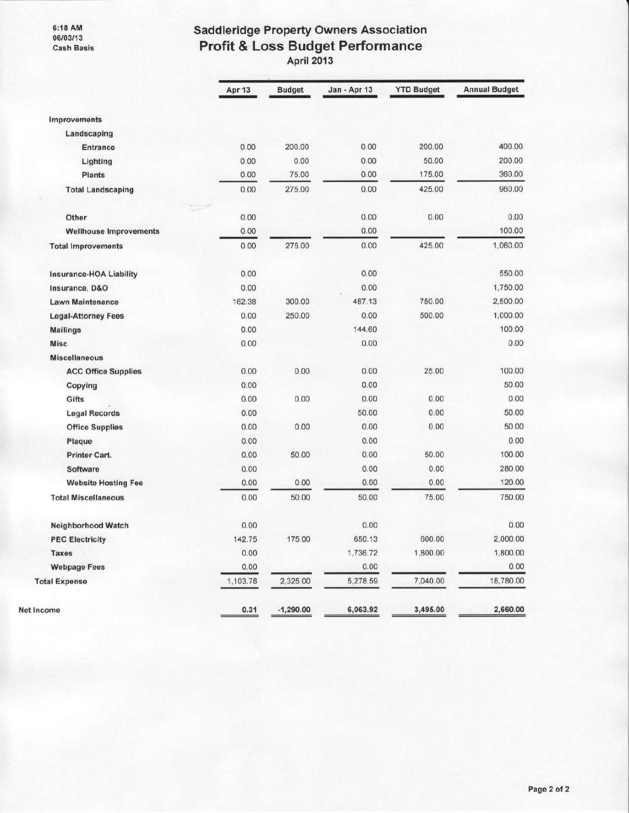6:18 AM<br>06/03/13 **Cash Basis** 

# Saddleridge Property Owners Association<br>Profit & Loss Budget Performance<br>April 2013

|                                | Apr 13   | <b>Budget</b> | Jan - Apr 13 | <b>YTD Budget</b> | <b>Annual Budget</b> |
|--------------------------------|----------|---------------|--------------|-------------------|----------------------|
| Improvements                   |          |               |              |                   |                      |
| Landscaping                    |          |               |              |                   |                      |
| <b>Entrance</b>                | 0.00     | 200.00        | 0.00         | 200.00            | 400.00               |
| Lighting                       | 0.00     | 0.00          | 0.00         | 50.00             | 200.00               |
| <b>Plants</b>                  | 0.00     | 75.00         | 0.00         | 175.00            | 360.00               |
| <b>Total Landscaping</b>       | 0.00     | 275.00        | 0.00         | 425.00            | 960.00               |
| Other                          | 0.00     |               | 0.00         | 0.00              | 0.00                 |
| <b>Wellhouse Improvements</b>  | 0.00     |               | 0.00         |                   | 100.00               |
| <b>Total Improvements</b>      | 0.00     | 275.00        | 0.00         | 425.00            | 1,060.00             |
| <b>Insurance-HOA Liability</b> | 0.00     |               | 0.00         |                   | 550.00               |
| Insurance, D&O                 | 0.00     |               | 0.00         |                   | 1,750.00             |
| <b>Lawn Maintenance</b>        | 162.38   | 300.00        | 487.13       | 750.00            | 2,500.00             |
| <b>Legal-Attorney Fees</b>     | 0.00     | 250.00        | 0.00         | 500.00            | 1,000.00             |
| <b>Mailings</b>                | 0.00     |               | 144.60       |                   | 100.00               |
| <b>Misc</b>                    | 0.00     |               | 0.00         |                   | 0.00                 |
| <b>Miscellaneous</b>           |          |               |              |                   |                      |
| <b>ACC Office Supplies</b>     | 0.00     | 0.00          | 0.00         | 25.00             | 100.00               |
| Copying                        | 0.00     |               | 0.00         |                   | 50.00                |
| Gifts                          | 0.00     | 0.00          | 0.00         | 0.00              | 0.00                 |
| <b>Legal Records</b>           | 0.00     |               | 50.00        | 0.00              | 50.00                |
| <b>Office Supplies</b>         | 0.00     | 0.00          | 0.00         | 0.00              | 50.00                |
| Plaque                         | 0.00     |               | 0.00         |                   | 0.00                 |
| <b>Printer Cart.</b>           | 0.00     | 50.00         | 0.00         | 50.00             | 100.00               |
| Software                       | 0.00     |               | 0.00         | 0.00              | 280.00               |
| <b>Website Hosting Fee</b>     | 0.00     | 0.00          | 0.00         | 0.00              | 120.00               |
| <b>Total Miscellaneous</b>     | 0.00     | 50.00         | 50.00        | 75.00             | 750.00               |
| Neighborhood Watch             | 0.00     |               | 0.00         |                   | 0.00                 |
| <b>PEC Electricity</b>         | 142.75   | 175.00        | 650.13       | 600.00            | 2,000.00             |
| <b>Taxes</b>                   | 0.00     |               | 1,736.72     | 1,800.00          | 1,800.00             |
| <b>Webpage Fees</b>            | 0.00     |               | 0.00         |                   | 0.00                 |
| <b>Total Expense</b>           | 1,103.78 | 2,325.00      | 5,278.59     | 7,040.00          | 18,780.00            |
| Net Income                     | 0.31     | $-1,290.00$   | 6,063.92     | 3,495.00          | 2,660.00             |